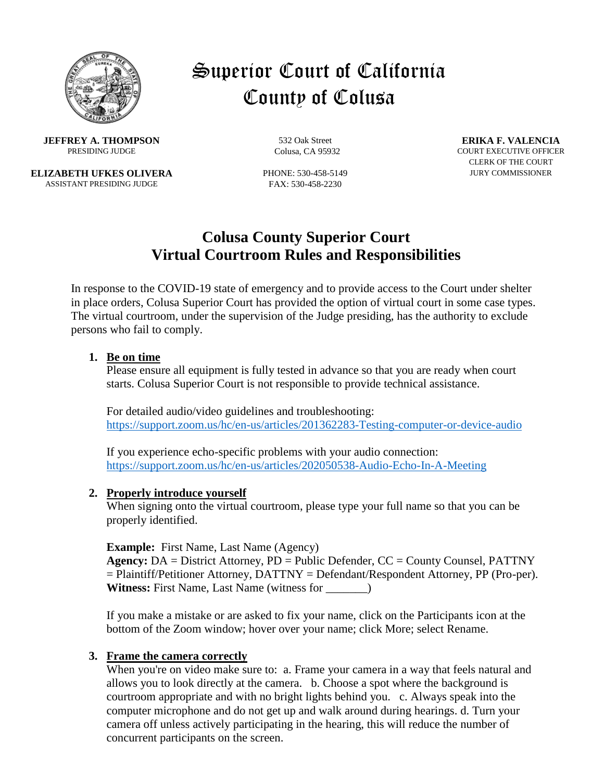

# Superior Court of California County of Colusa

**JEFFREY A. THOMPSON** 532 Oak Street **ERIKA F. VALENCIA**<br>PRESIDING JUDGE Colusa. CA 95932 COURT EXECUTIVE OFFICEI

**ELIZABETH UFKES OLIVERA** PHONE: 530-458-5149 JURY COMMISSIONER ASSISTANT PRESIDING JUDGE FAX: 530-458-2230

COURT EXECUTIVE OFFICER CLERK OF THE COURT

# **Colusa County Superior Court Virtual Courtroom Rules and Responsibilities**

In response to the COVID-19 state of emergency and to provide access to the Court under shelter in place orders, Colusa Superior Court has provided the option of virtual court in some case types. The virtual courtroom, under the supervision of the Judge presiding, has the authority to exclude persons who fail to comply.

#### **1. Be on time**

Please ensure all equipment is fully tested in advance so that you are ready when court starts. Colusa Superior Court is not responsible to provide technical assistance.

For detailed audio/video guidelines and troubleshooting: <https://support.zoom.us/hc/en-us/articles/201362283-Testing-computer-or-device-audio>

If you experience echo-specific problems with your audio connection: <https://support.zoom.us/hc/en-us/articles/202050538-Audio-Echo-In-A-Meeting>

#### **2. Properly introduce yourself**

When signing onto the virtual courtroom, please type your full name so that you can be properly identified.

**Example:** First Name, Last Name (Agency)

**Agency:** DA = District Attorney, PD = Public Defender, CC = County Counsel, PATTNY = Plaintiff/Petitioner Attorney, DATTNY = Defendant/Respondent Attorney, PP (Pro-per). **Witness:** First Name, Last Name (witness for \_\_\_\_\_\_\_)

If you make a mistake or are asked to fix your name, click on the Participants icon at the bottom of the Zoom window; hover over your name; click More; select Rename.

#### **3. Frame the camera correctly**

When you're on video make sure to: a. Frame your camera in a way that feels natural and allows you to look directly at the camera. b. Choose a spot where the background is courtroom appropriate and with no bright lights behind you. c. Always speak into the computer microphone and do not get up and walk around during hearings. d. Turn your camera off unless actively participating in the hearing, this will reduce the number of concurrent participants on the screen.